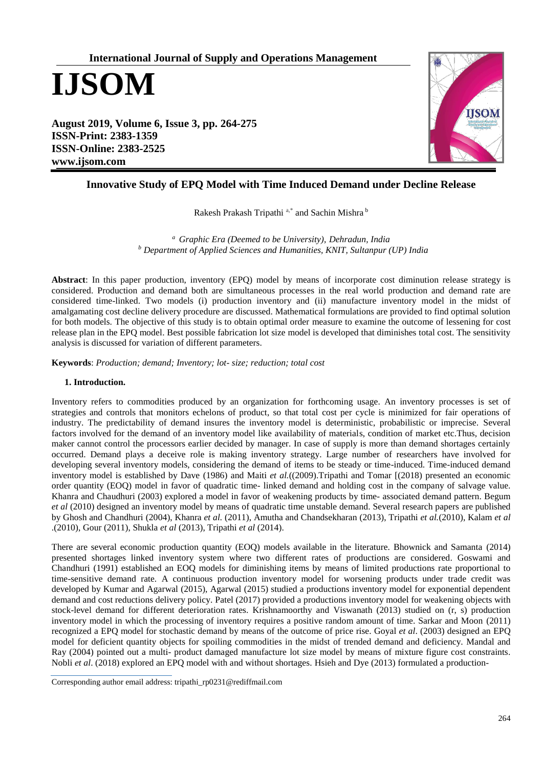# **International Journal of Supply and Operations Management**

**IJSOM**

**August 2019, Volume 6, Issue 3, pp. 264-275 ISSN-Print: 2383-1359 ISSN-Online: 2383-2525 www.ijsom.com**



# **Innovative Study of EPQ Model with Time Induced Demand under Decline Release**

Rakesh Prakash Tripathi a,\* and Sachin Mishra <sup>b</sup>

*<sup>a</sup>[Graphic Era \(Deemed to be University\),](https://geu.ac.in/) Dehradun, India <sup>b</sup> Department of Applied Sciences and Humanities, KNIT, Sultanpur (UP) India*

**Abstract**: In this paper production, inventory (EPQ) model by means of incorporate cost diminution release strategy is considered. Production and demand both are simultaneous processes in the real world production and demand rate are considered time-linked. Two models (i) production inventory and (ii) manufacture inventory model in the midst of amalgamating cost decline delivery procedure are discussed. Mathematical formulations are provided to find optimal solution for both models. The objective of this study is to obtain optimal order measure to examine the outcome of lessening for cost release plan in the EPQ model. Best possible fabrication lot size model is developed that diminishes total cost. The sensitivity analysis is discussed for variation of different parameters.

**Keywords**: *Production; demand; Inventory; lot- size; reduction; total cost*

# **1. Introduction.**

Inventory refers to commodities produced by an organization for forthcoming usage. An inventory processes is set of strategies and controls that monitors echelons of product, so that total cost per cycle is minimized for fair operations of industry. The predictability of demand insures the inventory model is deterministic, probabilistic or imprecise. Several factors involved for the demand of an inventory model like availability of materials, condition of market etc.Thus, decision maker cannot control the processors earlier decided by manager. In case of supply is more than demand shortages certainly occurred. Demand plays a deceive role is making inventory strategy. Large number of researchers have involved for developing several inventory models, considering the demand of items to be steady or time-induced. Time-induced demand inventory model is established by Dave (1986) and Maiti *et al.*((2009).Tripathi and Tomar [(2018) presented an economic order quantity (EOQ) model in favor of quadratic time- linked demand and holding cost in the company of salvage value. Khanra and Chaudhuri (2003) explored a model in favor of weakening products by time- associated demand pattern. Begum *et al* (2010) designed an inventory model by means of quadratic time unstable demand. Several research papers are published by Ghosh and Chandhuri (2004), Khanra *et al.* (2011), Amutha and Chandsekharan (2013), Tripathi *et al.*(2010), Kalam *et al* .(2010), Gour (2011), Shukla *et al* (2013), Tripathi *et al* (2014).

There are several economic production quantity (EOQ) models available in the literature. Bhownick and Samanta (2014) presented shortages linked inventory system where two different rates of productions are considered. Goswami and Chandhuri (1991) established an EOQ models for diminishing items by means of limited productions rate proportional to time-sensitive demand rate. A continuous production inventory model for worsening products under trade credit was developed by Kumar and Agarwal (2015), Agarwal (2015) studied a productions inventory model for exponential dependent demand and cost reductions delivery policy. Patel (2017) provided a productions inventory model for weakening objects with stock-level demand for different deterioration rates. Krishnamoorthy and Viswanath (2013) studied on (r, s) production inventory model in which the processing of inventory requires a positive random amount of time. Sarkar and Moon (2011) recognized a EPQ model for stochastic demand by means of the outcome of price rise. Goyal *et al*. (2003) designed an EPQ model for deficient quantity objects for spoiling commodities in the midst of trended demand and deficiency. Mandal and Ray (2004) pointed out a multi- product damaged manufacture lot size model by means of mixture figure cost constraints. Nobli *et al*. (2018) explored an EPQ model with and without shortages. Hsieh and Dye (2013) formulated a production-

Corresponding author email address: tripathi\_rp0231@rediffmail.com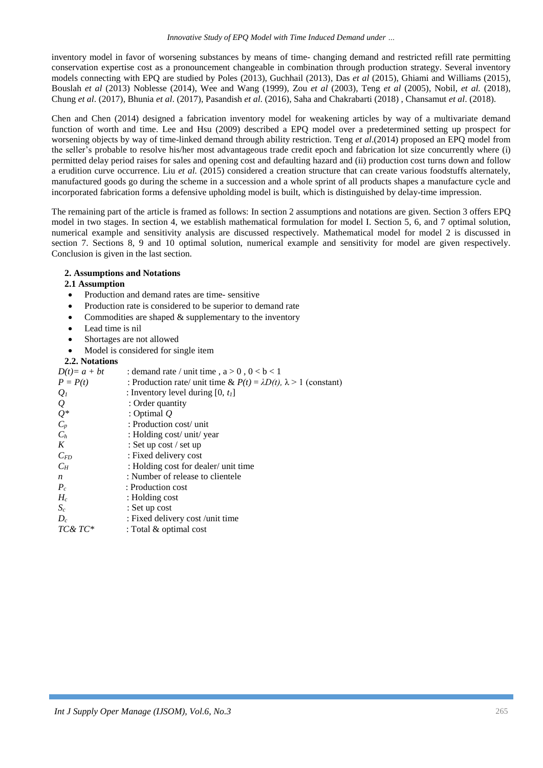inventory model in favor of worsening substances by means of time- changing demand and restricted refill rate permitting conservation expertise cost as a pronouncement changeable in combination through production strategy. Several inventory models connecting with EPQ are studied by Poles (2013), Guchhail (2013), Das *et al* (2015), Ghiami and Williams (2015), Bouslah *et al* (2013) Noblesse (2014), Wee and Wang (1999), Zou *et al* (2003), Teng *et al* (2005), Nobil, *et al.* (2018), Chung *et al*. (2017), Bhunia *et al*. (2017), Pasandish *et al*. (2016), Saha and Chakrabarti (2018) , Chansamut *et al*. (2018).

Chen and Chen (2014) designed a fabrication inventory model for weakening articles by way of a multivariate demand function of worth and time. Lee and Hsu (2009) described a EPQ model over a predetermined setting up prospect for worsening objects by way of time-linked demand through ability restriction. Teng *et al*.(2014) proposed an EPQ model from the seller's probable to resolve his/her most advantageous trade credit epoch and fabrication lot size concurrently where (i) permitted delay period raises for sales and opening cost and defaulting hazard and (ii) production cost turns down and follow a erudition curve occurrence. Liu *et al.* (2015) considered a creation structure that can create various foodstuffs alternately, manufactured goods go during the scheme in a succession and a whole sprint of all products shapes a manufacture cycle and incorporated fabrication forms a defensive upholding model is built, which is distinguished by delay-time impression.

The remaining part of the article is framed as follows: In section 2 assumptions and notations are given. Section 3 offers EPQ model in two stages. In section 4, we establish mathematical formulation for model I. Section 5, 6, and 7 optimal solution, numerical example and sensitivity analysis are discussed respectively. Mathematical model for model 2 is discussed in section 7. Sections 8, 9 and 10 optimal solution, numerical example and sensitivity for model are given respectively. Conclusion is given in the last section.

# **2. Assumptions and Notations**

# **2.1 Assumption**

- Production and demand rates are time- sensitive
- Production rate is considered to be superior to demand rate
- Commodities are shaped  $&$  supplementary to the inventory
- Lead time is nil
- Shortages are not allowed
- Model is considered for single item

## **2.2. Notations**

| $D(t)=a+bt$         | : demand rate / unit time, $a > 0$ , $0 < b < 1$                                |
|---------------------|---------------------------------------------------------------------------------|
| $P = P(t)$          | : Production rate/ unit time & $P(t) = \lambda D(t)$ , $\lambda > 1$ (constant) |
| $Q_I$               | : Inventory level during $[0, t_1]$                                             |
|                     | : Order quantity                                                                |
| $Q_{\mathcal{Q}^*}$ | : Optimal $Q$                                                                   |
| $C_p$               | : Production cost/ unit                                                         |
| $C_h$               | : Holding cost/ unit/ year                                                      |
| K                   | : Set up cost / set up                                                          |
| $C_{FD}$            | : Fixed delivery cost                                                           |
| $C_H$               | : Holding cost for dealer/ unit time                                            |
| $\boldsymbol{n}$    | : Number of release to clientele                                                |
| $P_c$               | : Production cost                                                               |
| $H_c$               | : Holding cost                                                                  |
| $S_c$               | : Set up cost                                                                   |
| $D_c$               | : Fixed delivery cost /unit time                                                |
| TC& TC*             | : Total $&$ optimal cost                                                        |
|                     |                                                                                 |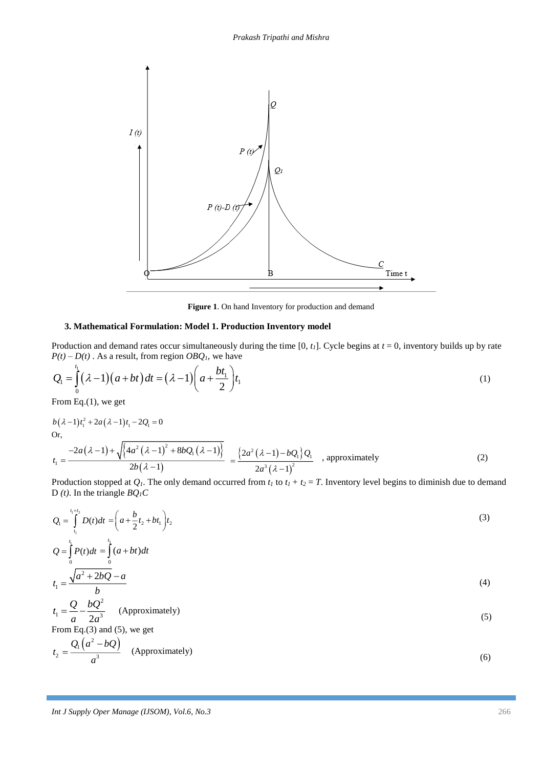

**Figure 1**. On hand Inventory for production and demand

# **3. Mathematical Formulation: Model 1. Production Inventory model**

Production and demand rates occur simultaneously during the time  $[0, t<sub>l</sub>]$ . Cycle begins at  $t = 0$ , inventory builds up by rate  $P(t) - D(t)$ . As a result, from region  $O B Q<sub>l</sub>$ , we have

$$
Q_1 = \int_0^{t_1} (\lambda - 1)(a + bt) dt = (\lambda - 1) \left( a + \frac{bt_1}{2} \right) t_1
$$
 (1)

From Eq.(1), we get

$$
b(\lambda - 1)t_1^2 + 2a(\lambda - 1)t_1 - 2Q_1 = 0
$$
  
Or,  

$$
t_1 = \frac{-2a(\lambda - 1) + \sqrt{(4a^2(\lambda - 1)^2 + 8bQ_1(\lambda - 1))}}{2b(\lambda - 1)} = \frac{\{2a^2(\lambda - 1) - bQ_1\}Q_1}{2a^3(\lambda - 1)^2}
$$
, approximately (2)

Production stopped at  $Q_I$ . The only demand occurred from  $t_I$  to  $t_I + t_2 = T$ . Inventory level begins to diminish due to demand D *(t)*. In the triangle *BQ1C*

$$
Q_1 = \int_{t_1}^{t_1 + t_2} D(t)dt = \left(a + \frac{b}{2}t_2 + bt_1\right)t_2
$$
\n(3)

$$
Q = \int_{0}^{a} P(t)dt = \int_{0}^{a} (a+bt)dt
$$
  

$$
t_{1} = \frac{\sqrt{a^{2} + 2bQ} - a}{b}
$$
 (4)

$$
t_1 = \frac{Q}{a} - \frac{bQ^2}{2a^3}
$$
 (Approximately) (5)

From Eq.(3) and (5), we get

$$
t_2 = \frac{Q_1\left(a^2 - bQ\right)}{a^3} \quad \text{(Approximately)}\tag{6}
$$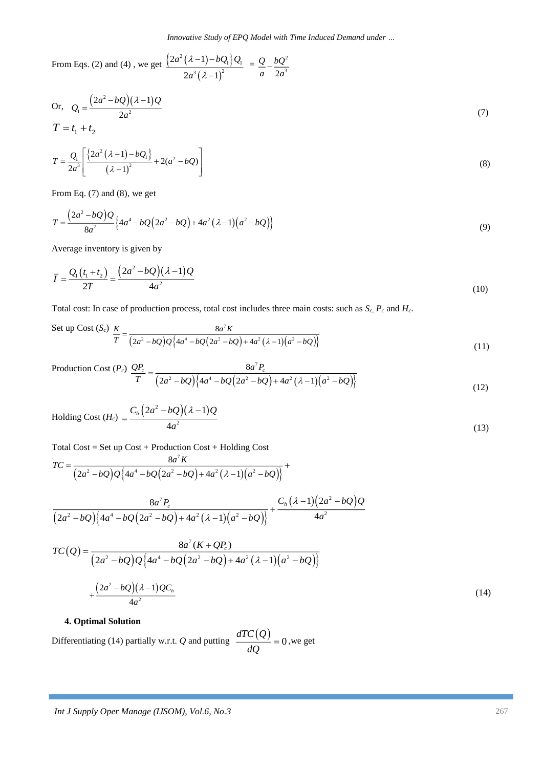From Eqs. (2) and (4), we get  $\frac{\left\{2a^2(\lambda-1)-bQ_1\right\}\binom{n}{2}}{2}$  $(\lambda-1)^2$  $^{2}(\lambda-1)-b\mathcal{Q}_{1}\mathcal{Q}_{1}$ 3  $(1 - 1)^2$  $2a^2(\lambda-1)$  $2a^3(\lambda-1)$  $a^2(\lambda-1)-bQ_1Q_0$ *a* λ λ -11-Ξ.  $=\underline{Q}$   $-\underline{bQ^2}$  $2a^3$ *Q bQ*  $\frac{a}{a}$ <sup>-</sup> $\frac{a}{2a}$ <sup>3</sup>

Or, 
$$
Q_1 = \frac{(2a^2 - bQ)(\lambda - 1)Q}{2a^2}
$$
  
\n $T = t_1 + t_2$  (7)

$$
T = \frac{Q_1}{2a^3} \left[ \frac{\left\{ 2a^2 (\lambda - 1) - bQ_1 \right\}}{(\lambda - 1)^2} + 2(a^2 - bQ) \right]
$$
 (8)

From Eq. (7) and (8), we get

$$
T = \frac{(2a^2 - bQ)Q}{8a^7} \{4a^4 - bQ(2a^2 - bQ) + 4a^2(\lambda - 1)(a^2 - bQ)\}\
$$
\n(9)

Average inventory is given by

$$
\overline{I} = \frac{Q_1(t_1 + t_2)}{2T} = \frac{(2a^2 - bQ)(\lambda - 1)Q}{4a^2}
$$
\n(10)

Total cost: In case of production process, total cost includes three main costs: such as *Sc*, *P<sup>c</sup>* and *Hc*.

Set up Cost (*S<sub>c</sub>*) 
$$
\frac{K}{T} = \frac{8a^7 K}{(2a^2 - bQ)Q\{4a^4 - bQ(2a^2 - bQ) + 4a^2(\lambda - 1)(a^2 - bQ)\}}
$$
 (11)

Production Cost (*Pc*)  $\big( 2a^2 - bQ \big) \big\{ 4a^4 - bQ \big( 2a^2 - bQ \big) + 4a^2 \big( \lambda - 1 \big) \big( a^2 - bQ \big) \big\}$ 7 2  $(0.14 \cdot 4 \cdot 10(0.2 \cdot 10) \cdot 4 \cdot 2(1.1))$ 8  $2a^2 - bO(4a^4 - bO(2a^2 - bO) + 4a^2(\lambda - 1))$  $QP_c$  8*a*<sup> $t$ </sup> $P_c$  $\frac{d}{dx} = \frac{1}{2a^2 - bQ} \left( 4a^4 - bQ(2a^2 - bQ) + 4a^2(\lambda - 1)(a^2 - bQ) \right)$ (12)

Holding Cost 
$$
(H_c) = \frac{C_h (2a^2 - bQ)(\lambda - 1)Q}{4a^2}
$$
 (13)

Total Cost = Set up Cost + Production Cost + Holding Cost

$$
TC = \frac{8a^{7} K}{(2a^{2} - bQ)Q\{4a^{4} - bQ(2a^{2} - bQ) + 4a^{2}(\lambda - 1)(a^{2} - bQ)\}} + \frac{8a^{7} F_{c}}{(2a^{2} - bQ)\{4a^{4} - bQ(2a^{2} - bQ) + 4a^{2}(\lambda - 1)(a^{2} - bQ)\}} + \frac{C_{h}(\lambda - 1)(2a^{2} - bQ)Q}{4a^{2}}
$$

$$
TC(Q) = \frac{8a^{7}(K + QP_{c})}{(2a^{2} - bQ)Q\{4a^{4} - bQ(2a^{2} - bQ) + 4a^{2}(\lambda - 1)(a^{2} - bQ)\}}
$$

$$
+\frac{(2a^{2} - bQ)(\lambda - 1)QC_{h}}{4a^{2}} \tag{14}
$$

#### **4. Optimal Solution**

Differentiating (14) partially w.r.t. *Q* and putting  $\frac{dTC(Q)}{dQ} = 0$  $\frac{\partial^2 (z)}{\partial Q} = 0$ , we get

4

*a*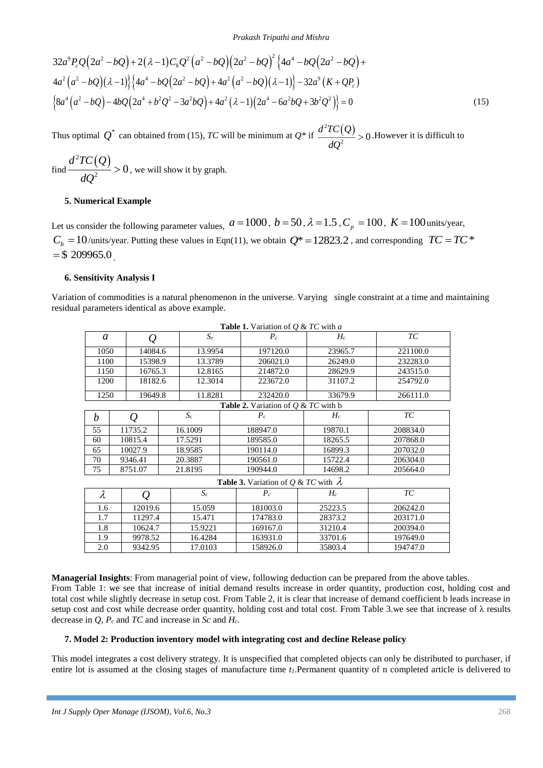$$
32a^{9}P_{c}Q(2a^{2}-bQ)+2(\lambda-1)C_{h}Q^{2}(a^{2}-bQ)(2a^{2}-bQ)^{2}\left\{4a^{4}-bQ(2a^{2}-bQ)+4a^{2}(a^{2}-bQ)(\lambda-1)\right\}\left\{4a^{4}-bQ(2a^{2}-bQ)+4a^{2}(a^{2}-bQ)(\lambda-1)\right\}-32a^{9}(K+QP_{c})
$$
\n
$$
\left\{8a^{4}(a^{2}-bQ)-4bQ(2a^{4}+b^{2}Q^{2}-3a^{2}bQ)+4a^{2}(\lambda-1)(2a^{4}-6a^{2}bQ+3b^{2}Q^{2})\right\}=0
$$
\n(15)

find 
$$
\frac{d^2TC(Q)}{dQ^2} > 0
$$
, we will show it by graph.

## **5. Numerical Example**

## **6. Sensitivity Analysis I**

|                |                                                    |                                                              |  |                              |          | $4a^2(a^2-bQ)(\lambda-1)\left\{4a^4-bQ(2a^2-bQ)+4a^2(a^2-bQ)(\lambda-1)\right\}-32a^9(K+QP_c)$<br>$\left\{8a^4(a^2-bQ)-4bQ(2a^4+b^2Q^2-3a^2bQ)+4a^2(\lambda-1)(2a^4-6a^2bQ+3b^2Q^2)\right\}=0$ |                                                                                         |                                                                                                                                                                                                                                                                                                                                                                                                                                                                                                                                                                                                                                                                                                                                                                                                         | (15) |
|----------------|----------------------------------------------------|--------------------------------------------------------------|--|------------------------------|----------|------------------------------------------------------------------------------------------------------------------------------------------------------------------------------------------------|-----------------------------------------------------------------------------------------|---------------------------------------------------------------------------------------------------------------------------------------------------------------------------------------------------------------------------------------------------------------------------------------------------------------------------------------------------------------------------------------------------------------------------------------------------------------------------------------------------------------------------------------------------------------------------------------------------------------------------------------------------------------------------------------------------------------------------------------------------------------------------------------------------------|------|
|                |                                                    |                                                              |  |                              |          |                                                                                                                                                                                                |                                                                                         | Thus optimal $Q^*$ can obtained from (15), TC will be minimum at $Q^*$ if $\frac{d^2TC(Q)}{dQ^2} > 0$ . However it is difficult to                                                                                                                                                                                                                                                                                                                                                                                                                                                                                                                                                                                                                                                                      |      |
|                |                                                    | find $\frac{d^2TC(Q)}{dQ^2} > 0$ , we will show it by graph. |  |                              |          |                                                                                                                                                                                                |                                                                                         |                                                                                                                                                                                                                                                                                                                                                                                                                                                                                                                                                                                                                                                                                                                                                                                                         |      |
|                |                                                    | 5. Numerical Example                                         |  |                              |          |                                                                                                                                                                                                |                                                                                         |                                                                                                                                                                                                                                                                                                                                                                                                                                                                                                                                                                                                                                                                                                                                                                                                         |      |
| $=$ \$209965.0 |                                                    | <b>6. Sensitivity Analysis I</b>                             |  |                              |          |                                                                                                                                                                                                |                                                                                         | Let us consider the following parameter values, $a = 1000$ , $b = 50$ , $\lambda = 1.5$ , $C_p = 100$ , $K = 100$ units/year,<br>$C_h = 10$ /units/year. Putting these values in Eqn(11), we obtain $Q^* = 12823.2$ , and corresponding $TC = TC^*$<br>Variation of commodities is a natural phenomenon in the universe. Varying single constraint at a time and maintaining                                                                                                                                                                                                                                                                                                                                                                                                                            |      |
|                |                                                    | residual parameters identical as above example.              |  |                              |          |                                                                                                                                                                                                |                                                                                         |                                                                                                                                                                                                                                                                                                                                                                                                                                                                                                                                                                                                                                                                                                                                                                                                         |      |
|                | a                                                  | $\varrho$                                                    |  | $S_c$                        |          | <b>Table 1.</b> Variation of $Q \& TC$ with a<br>$P_c$                                                                                                                                         | $H_c$                                                                                   | $\mathcal{TC}$                                                                                                                                                                                                                                                                                                                                                                                                                                                                                                                                                                                                                                                                                                                                                                                          |      |
|                | 1050                                               |                                                              |  | 13.9954                      |          | 197120.0                                                                                                                                                                                       | 23965.7                                                                                 | 221100.0                                                                                                                                                                                                                                                                                                                                                                                                                                                                                                                                                                                                                                                                                                                                                                                                |      |
|                | 1100                                               | 14084.6<br>15398.9                                           |  | 13.3789                      |          | 206021.0                                                                                                                                                                                       | 26249.0                                                                                 | 232283.0                                                                                                                                                                                                                                                                                                                                                                                                                                                                                                                                                                                                                                                                                                                                                                                                |      |
|                | 1150                                               | 16765.3                                                      |  | 12.8165                      |          | 214872.0                                                                                                                                                                                       | 28629.9                                                                                 | 243515.0                                                                                                                                                                                                                                                                                                                                                                                                                                                                                                                                                                                                                                                                                                                                                                                                |      |
|                | 1200                                               | 18182.6                                                      |  | 12.3014<br>11.8281           |          | 223672.0                                                                                                                                                                                       | 31107.2                                                                                 | 254792.0                                                                                                                                                                                                                                                                                                                                                                                                                                                                                                                                                                                                                                                                                                                                                                                                |      |
|                | 1250                                               | 19649.8                                                      |  |                              |          | 232420.0                                                                                                                                                                                       | 33679.9                                                                                 | 266111.0                                                                                                                                                                                                                                                                                                                                                                                                                                                                                                                                                                                                                                                                                                                                                                                                |      |
|                |                                                    |                                                              |  |                              |          | <b>Table 2.</b> Variation of $Q \& TC$ with b                                                                                                                                                  |                                                                                         |                                                                                                                                                                                                                                                                                                                                                                                                                                                                                                                                                                                                                                                                                                                                                                                                         |      |
|                | $\boldsymbol{b}$                                   | $\varrho$                                                    |  | $S_c$                        |          | $P_c$                                                                                                                                                                                          | $H_c$                                                                                   | $\mathcal{TC}$                                                                                                                                                                                                                                                                                                                                                                                                                                                                                                                                                                                                                                                                                                                                                                                          |      |
|                | 55                                                 | 11735.2<br>16.1009                                           |  |                              | 188947.0 | 19870.1                                                                                                                                                                                        | 208834.0                                                                                |                                                                                                                                                                                                                                                                                                                                                                                                                                                                                                                                                                                                                                                                                                                                                                                                         |      |
|                | 60                                                 | 10815.4                                                      |  | 17.5291                      |          | 189585.0                                                                                                                                                                                       | 18265.5                                                                                 | 207868.0                                                                                                                                                                                                                                                                                                                                                                                                                                                                                                                                                                                                                                                                                                                                                                                                |      |
|                | 65                                                 | 10027.9                                                      |  | 18.9585                      |          | 190114.0                                                                                                                                                                                       | 16899.3                                                                                 | 207032.0                                                                                                                                                                                                                                                                                                                                                                                                                                                                                                                                                                                                                                                                                                                                                                                                |      |
|                | 70                                                 | 9346.41                                                      |  | 20.3887                      |          | 190561.0                                                                                                                                                                                       | 15722.4                                                                                 | 206304.0                                                                                                                                                                                                                                                                                                                                                                                                                                                                                                                                                                                                                                                                                                                                                                                                |      |
|                | 75                                                 | 8751.07                                                      |  | 21.8195                      |          | 190944.0                                                                                                                                                                                       | 14698.2                                                                                 | 205664.0                                                                                                                                                                                                                                                                                                                                                                                                                                                                                                                                                                                                                                                                                                                                                                                                |      |
|                |                                                    |                                                              |  |                              |          | <b>Table 3.</b> Variation of Q & TC with $\lambda$                                                                                                                                             |                                                                                         |                                                                                                                                                                                                                                                                                                                                                                                                                                                                                                                                                                                                                                                                                                                                                                                                         |      |
|                | $\lambda$<br>$\mathcal{Q}$                         |                                                              |  | $S_c$                        |          | $P_c$                                                                                                                                                                                          | $H_c$                                                                                   | TC                                                                                                                                                                                                                                                                                                                                                                                                                                                                                                                                                                                                                                                                                                                                                                                                      |      |
|                | 1.6                                                | 12019.6                                                      |  | 15.059                       |          | 181003.0                                                                                                                                                                                       | 25223.5                                                                                 | 206242.0                                                                                                                                                                                                                                                                                                                                                                                                                                                                                                                                                                                                                                                                                                                                                                                                |      |
|                | 1.7<br>11297.4<br>10624.7<br>1.8<br>9978.52<br>1.9 |                                                              |  | 15.471<br>15.9221<br>16.4284 |          | 174783.0                                                                                                                                                                                       | 28373.2                                                                                 | 203171.0                                                                                                                                                                                                                                                                                                                                                                                                                                                                                                                                                                                                                                                                                                                                                                                                |      |
|                |                                                    |                                                              |  |                              |          | 169167.0<br>163931.0                                                                                                                                                                           | 31210.4<br>33701.6                                                                      | 200394.0<br>197649.0                                                                                                                                                                                                                                                                                                                                                                                                                                                                                                                                                                                                                                                                                                                                                                                    |      |
|                | 2.0                                                | 17.0103<br>9342.95                                           |  |                              | 158926.0 | 35803.4                                                                                                                                                                                        | 194747.0                                                                                |                                                                                                                                                                                                                                                                                                                                                                                                                                                                                                                                                                                                                                                                                                                                                                                                         |      |
|                |                                                    | decrease in Q, $P_c$ and TC and increase in Sc and $H_c$ .   |  |                              |          |                                                                                                                                                                                                | 7. Model 2: Production inventory model with integrating cost and decline Release policy | Managerial Insights: From managerial point of view, following deduction can be prepared from the above tables.<br>From Table 1: we see that increase of initial demand results increase in order quantity, production cost, holding cost and<br>total cost while slightly decrease in setup cost. From Table 2, it is clear that increase of demand coefficient b leads increase in<br>setup cost and cost while decrease order quantity, holding cost and total cost. From Table 3.we see that increase of $\lambda$ results<br>This model integrates a cost delivery strategy. It is unspecified that completed objects can only be distributed to purchaser, if<br>entire lot is assumed at the closing stages of manufacture time $t_l$ . Permanent quantity of n completed article is delivered to |      |
|                |                                                    | Int J Supply Oper Manage (IJSOM), Vol.6, No.3                |  |                              |          |                                                                                                                                                                                                |                                                                                         |                                                                                                                                                                                                                                                                                                                                                                                                                                                                                                                                                                                                                                                                                                                                                                                                         | 268  |

## **7. Model 2: Production inventory model with integrating cost and decline Release policy**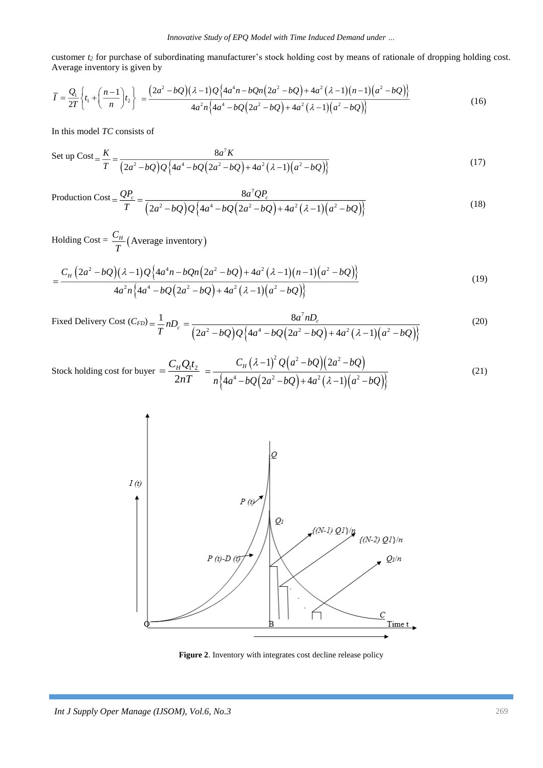customer *t<sup>2</sup>* for purchase of subordinating manufacturer's stock holding cost by means of rationale of dropping holding cost. Average inventory is given by

$$
\overline{I} = \frac{Q_1}{2T} \left\{ t_1 + \left( \frac{n-1}{n} \right) t_2 \right\} = \frac{\left( 2a^2 - bQ \right) (\lambda - 1) Q \left\{ 4a^4 n - bQ n \left( 2a^2 - bQ \right) + 4a^2 (\lambda - 1) (n-1) \left( a^2 - bQ \right) \right\}}{4a^2 n \left\{ 4a^4 - bQ \left( 2a^2 - bQ \right) + 4a^2 (\lambda - 1) \left( a^2 - bQ \right) \right\}} \tag{16}
$$

In this model *TC* consists of

Set up Cost = 
$$
\frac{K}{T} = \frac{8a^7 K}{(2a^2 - bQ)Q\{4a^4 - bQ(2a^2 - bQ) + 4a^2(\lambda - 1)(a^2 - bQ)\}}
$$
 (17)

Production Cost = 
$$
\frac{QP_c}{T} = \frac{8a^7QP_c}{(2a^2 - bQ)Q\{4a^4 - bQ(2a^2 - bQ) + 4a^2(\lambda - 1)(a^2 - bQ)\}}
$$
 (18)

Holding Cost =  $\frac{C_H}{T}$  (Average inventory) *T*

$$
=\frac{C_H\left(2a^2-bQ\right)(\lambda-1)Q\left\{4a^4n-bQn\left(2a^2-bQ\right)+4a^2\left(\lambda-1\right)\left(n-1\right)\left(a^2-bQ\right)\right\}}{4a^2n\left\{4a^4-bQ\left(2a^2-bQ\right)+4a^2\left(\lambda-1\right)\left(a^2-bQ\right)\right\}}
$$
\n(19)

Fixed Delivery Cost 
$$
(C_{FD}) = \frac{1}{T} n D_c = \frac{8a^7 n D_c}{(2a^2 - bQ)Q\{4a^4 - bQ(2a^2 - bQ) + 4a^2(\lambda - 1)(a^2 - bQ)\}}
$$
 (20)

Stock holding cost for buyer 
$$
= \frac{C_H Q_1 t_2}{2nT} = \frac{C_H (\lambda - 1)^2 Q (a^2 - bQ) (2a^2 - bQ)}{n \{4a^4 - bQ (2a^2 - bQ) + 4a^2 (\lambda - 1) (a^2 - bQ) \}}
$$
(21)



**Figure 2**. Inventory with integrates cost decline release policy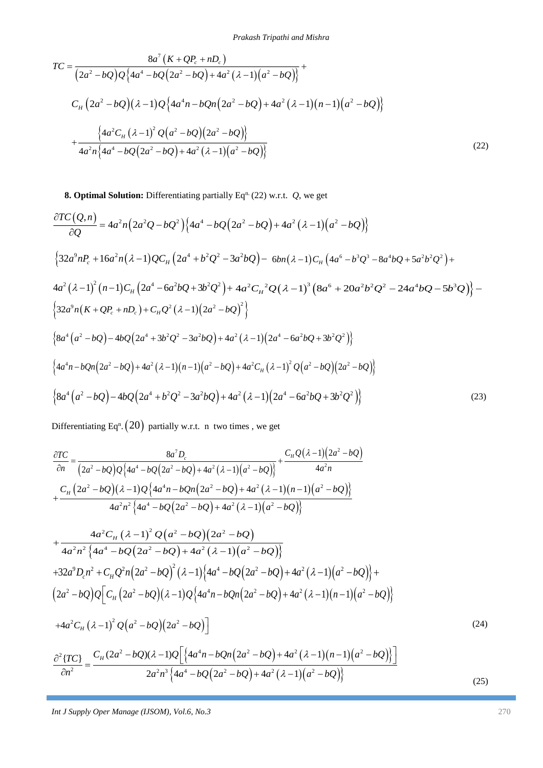$$
TC = \frac{8a^{7}(K + QP_{c} + nD_{c})}{(2a^{2} - bQ)Q\{4a^{4} - bQ(2a^{2} - bQ) + 4a^{2}(\lambda - 1)(a^{2} - bQ)\}} + C_{H}(2a^{2} - bQ)(\lambda - 1)Q\{4a^{4}n - bQn(2a^{2} - bQ) + 4a^{2}(\lambda - 1)(n - 1)(a^{2} - bQ)\} + \frac{\{4a^{2}C_{H}(\lambda - 1)^{2}Q(a^{2} - bQ)(2a^{2} - bQ)\}}{4a^{2}n\{4a^{4} - bQ(2a^{2} - bQ) + 4a^{2}(\lambda - 1)(a^{2} - bQ)\}}
$$
\n(22)

**8. Optimal Solution:** Differentiating partially Eq<sup>n.</sup> (22) w.r.t.  $Q$ , we get

$$
\frac{\partial TC(Q,n)}{\partial Q} = 4a^2n\left(2a^2Q - bQ^2\right)\left\{4a^4 - bQ\left(2a^2 - bQ\right) + 4a^2\left(\lambda - 1\right)\left(a^2 - bQ\right)\right\}
$$
\n
$$
\left\{32a^9nP_c + 16a^2n\left(\lambda - 1\right)QC_H\left(2a^4 + b^2Q^2 - 3a^2bQ\right) - 6bn\left(\lambda - 1\right)C_H\left(4a^6 - b^3Q^3 - 8a^4bQ + 5a^2b^2Q^2\right) + 4a^2\left(\lambda - 1\right)^2\left(n - 1\right)C_H\left(2a^4 - 6a^2bQ + 3b^2Q^2\right) + 4a^2C_H^2Q\left(\lambda - 1\right)^3\left(8a^6 + 20a^2b^2Q^2 - 24a^4bQ - 5b^3Q\right)\right\} - \left\{32a^9n\left(K + QP_c + nD_c\right) + C_HQ^2\left(\lambda - 1\right)\left(2a^2 - bQ\right)^2\right\}
$$
\n
$$
\left\{8a^4\left(a^2 - bQ\right) - 4bQ\left(2a^4 + 3b^2Q^2 - 3a^2bQ\right) + 4a^2\left(\lambda - 1\right)\left(2a^4 - 6a^2bQ + 3b^2Q^2\right)\right\}
$$
\n
$$
\left\{4a^4n - bQn\left(2a^2 - bQ\right) + 4a^2\left(\lambda - 1\right)\left(n - 1\right)\left(a^2 - bQ\right) + 4a^2C_H\left(\lambda - 1\right)^2Q\left(a^2 - bQ\right)\left(2a^2 - bQ\right)\right\}
$$
\n
$$
\left\{8a^4\left(a^2 - bQ\right) - 4bQ\left(2a^4 + b^2Q^2 - 3a^2bQ\right) + 4a^2\left(\lambda - 1\right)\left(2a^4 - 6a^2bQ + 3b^2Q^2\right)\right\}
$$
\n
$$
\left\{8a^4\left(a^2 - bQ\right) - 4bQ\left(2a^4 + b^2Q^2 - 3a^2bQ\right) +
$$

Differentiating Eq<sup>n</sup>.  $(20)$  partially w.r.t. n two times , we get

$$
TC = \frac{8a^2(K+QP+nP)}{(2a^2-bQ)Q[4a^4-bQ(2a^2-bQ)+4a^2(2-1)(a^2-bQ)]} + C_n (2a^2-bQ)(2a^2-bQ)(4a^4-bQ(2a^2-bQ)+4a^2(2-1)(a-1)(a^2-bQ)] + \frac{4a^2C_n(2a^2)}{4a^2n[4a^4-bQ(2a^2-bQ)+4a^2(4-1)](a^2-bQ)]}
$$
\n
$$
= \frac{4a^2C_n(2a^2)^2(2a^2-bQ)+4a^2(4-1)[a^2-bQ]}{4a^2n[4a^4-bQ(2a^2-bQ)+4a^2(4-1)](a^2-bQ)}
$$
\n8. Optimal Solution: Differentiating partially Eq<sup>n</sup> (22) w.r.t. Q, we get\n
$$
\frac{\partial TC(Q,n)}{\partial Q} = 4a^2n(2a^2D-bQ^2)\{4a^4-bQ(2a^2-bQ)+4a^2(2-1)(a^2-bQ)\}
$$
\n
$$
\{32a^2nP_n + 16a^2n(A-1)QC_n(2a^4+b^2Q^2-3a^2bQ)-6bn(A-1)C_n(4a^4-b^2Q^2-8a^2bQ+5a^2b^2Q^2)+4a^2(A-1)^2(n-1)Ca^2-6a^2bQ+20a^2b^2Q^2-24a^2bQ-5b^2Q)\} - \frac{4a^2(A-1)^2(n-1)C_n(2a^4-b^2Q^2-3a^2bQ)+4a^2(C-1)(2a^2-ba^2Q(2-1)^2(8a^2+20a^2b^2Q-24a^2bQ-5b^2Q)\} - \frac{4a^2(A-1)^2(n-1)(2a^2-bQ)^2}{2a^2n(R+QP-2Q^2+3b^2Q^2-3a^2bQ)+4a^2(A-1)(2a^4-ba^2bQ+3b^2Q^2)}\}
$$
\n
$$
8a^4(a^2-bQ)-4bQ(2a^4+b^2Q^2-3a^2bQ)+4a^2(A-1)(2a^4-ba^2bQ+3b^2Q^2)\}
$$
\n
$$
8a^4(a^2-bQ)-4bQ(2a^4+b^2Q
$$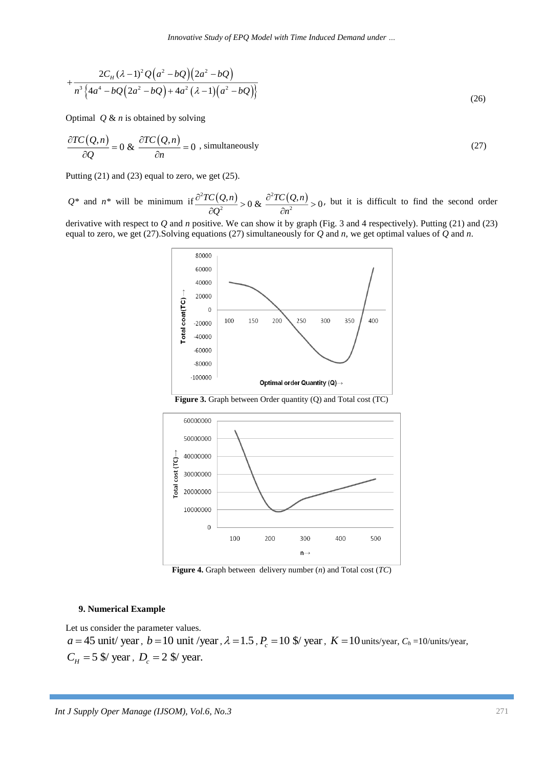$$
+\frac{2C_{H}(\lambda-1)^{2}Q(a^{2}-bQ)(2a^{2}-bQ)}{n^{3}\left\{4a^{4}-bQ(2a^{2}-bQ)+4a^{2}(\lambda-1)(a^{2}-bQ)\right\}}
$$
\n(26)

Optimal *Q* & *n* is obtained by solving

$$
\frac{\partial TC(Q,n)}{\partial Q} = 0 \& \frac{\partial TC(Q,n)}{\partial n} = 0 , \text{ simultaneously}
$$
\n(27)

Putting  $(21)$  and  $(23)$  equal to zero, we get  $(25)$ .

 $Q^*$  and  $n^*$  will be minimum if  $\frac{\partial^2 TC(Q,n)}{\partial Q^2} > 0$  &  $\frac{\partial^2 TC(Q,n)}{\partial Q^2}$  $\frac{2^{(n)}}{2} > 0 & \frac{3^{(n)} - 5}{2n^2}$  $\frac{TC(Q,n)}{T(Q,n)} > 0 \& \frac{\partial^2 TC(Q,n)}{\partial x^2} > 0$  $\frac{\partial^2 (Q,n)}{\partial q^2} > 0 \& \frac{\partial^2 IC}{\partial n^2}$  $\frac{\partial^2 TC(Q,n)}{\partial Q^2} > 0$  &  $\frac{\partial^2 TC(Q,n)}{\partial n^2} > 0$ , but it is difficult to find the second order

derivative with respect to *Q* and *n* positive. We can show it by graph (Fig. 3 and 4 respectively). Putting (21) and (23) equal to zero, we get (27).Solving equations (27) simultaneously for *Q* and *n*, we get optimal values of *Q* and *n*.



**Figure 3.** Graph between Order quantity (Q) and Total cost (TC)



**Figure 4.** Graph between delivery number (*n*) and Total cost (*TC*)

#### **9. Numerical Example**

Let us consider the parameter values.

 $a = 45$  unit/ year,  $b = 10$  unit/year,  $\lambda = 1.5$ ,  $P_c = 10$  \$/ year,  $K = 10$  units/year,  $C_h = 10$ /units/year,  $C_H = 5$  \$/ year,  $D_c = 2$  \$/ year.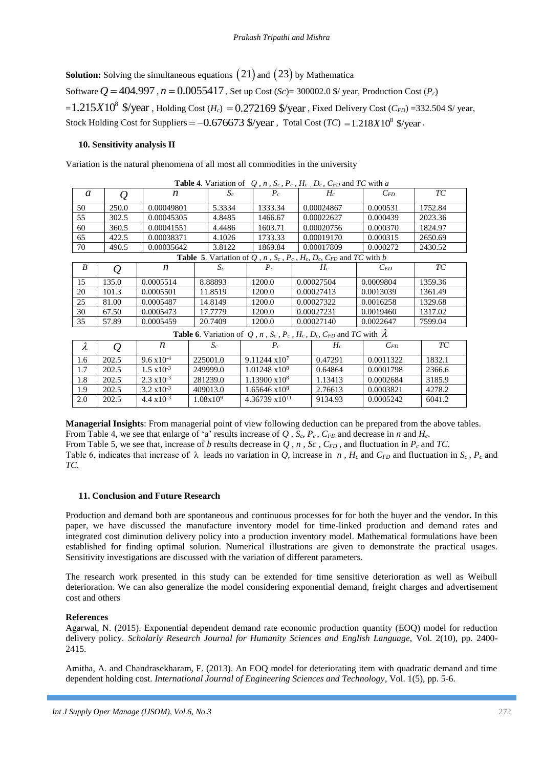**Solution:** Solving the simultaneous equations  $(21)$  and  $(23)$  by Mathematica Software  $Q = 404.997$ ,  $n = 0.0055417$ , Set up Cost (*Sc*)= 300002.0 \$/ year, Production Cost (*P<sub>c</sub>*)  $\approx$  1.215X10<sup>8</sup> \$/year, Holding Cost (*H<sub>c</sub>*) = 0.272169 \$/year, Fixed Delivery Cost (*C<sub>FD</sub>*) =332.504 \$/year, Stock Holding Cost for Suppliers =  $-0.676673$  \$/year, Total Cost (*TC*) =  $1.218X10^8$  \$/year.

## **10. Sensitivity analysis II**

Variation is the natural phenomena of all most all commodities in the university

| <b>Table 4.</b> Variation of Q, n, S <sub>c</sub> , P <sub>c</sub> , H <sub>c</sub> , D <sub>c</sub> , C <sub>FD</sub> and IC with a         |               |                      |          |                       |                         |            |            |           |           |  |         |  |
|----------------------------------------------------------------------------------------------------------------------------------------------|---------------|----------------------|----------|-----------------------|-------------------------|------------|------------|-----------|-----------|--|---------|--|
| a                                                                                                                                            | Q             | n                    | $S_c$    |                       | $P_c$                   |            | $H_c$      |           | $C_{FD}$  |  | ТC      |  |
| 50                                                                                                                                           | 250.0         | 0.00049801           | 5.3334   |                       | 1333.34                 |            | 0.00024867 |           | 0.000531  |  | 1752.84 |  |
| 55                                                                                                                                           | 302.5         | 0.00045305           | 4.8485   |                       | 1466.67                 |            | 0.00022627 |           | 0.000439  |  | 2023.36 |  |
| 60                                                                                                                                           | 360.5         | 0.00041551           | 4.4486   |                       | 1603.71                 |            | 0.00020756 |           | 0.000370  |  | 1824.97 |  |
| 65                                                                                                                                           | 422.5         | 0.00038371           | 4.1026   |                       | 1733.33                 |            | 0.00019170 |           | 0.000315  |  | 2650.69 |  |
| 70                                                                                                                                           | 490.5         | 0.00035642           | 3.8122   |                       | 1869.84                 | 0.00017809 |            |           | 0.000272  |  | 2430.52 |  |
| <b>Table 5.</b> Variation of Q, n, S <sub>c</sub> , P <sub>c</sub> , H <sub>c</sub> , D <sub>c</sub> , C <sub>FD</sub> and TC with b         |               |                      |          |                       |                         |            |            |           |           |  |         |  |
| B                                                                                                                                            | $\varrho$     | n                    | $S_c$    |                       | $P_c$                   |            | $H_c$      |           | $C_{ED}$  |  | ТC      |  |
| 15                                                                                                                                           | 135.0         | 0.0005514            | 8.88893  |                       | 1200.0                  |            | 0.00027504 |           | 0.0009804 |  | 1359.36 |  |
| 20                                                                                                                                           | 101.3         | 0.0005501            | 11.8519  |                       | 1200.0                  |            | 0.00027413 |           | 0.0013039 |  | 1361.49 |  |
| 25                                                                                                                                           | 81.00         | 0.0005487            | 14.8149  |                       | 1200.0                  |            | 0.00027322 |           | 0.0016258 |  | 1329.68 |  |
| 30                                                                                                                                           | 67.50         | 0.0005473            | 17.7779  |                       | 1200.0                  |            | 0.00027231 |           | 0.0019460 |  | 1317.02 |  |
| 35                                                                                                                                           | 57.89         | 0.0005459            | 20.7409  |                       | 1200.0                  | 0.00027140 |            | 0.0022647 |           |  | 7599.04 |  |
| <b>Table 6.</b> Variation of Q, n, S <sub>c</sub> , P <sub>c</sub> , H <sub>c</sub> , D <sub>c</sub> , C <sub>FD</sub> and TC with $\lambda$ |               |                      |          |                       |                         |            |            |           |           |  |         |  |
| $\lambda$                                                                                                                                    | $\mathcal{Q}$ | n                    | $S_c$    |                       | $P_c$                   |            | $H_c$      |           | $C_{FD}$  |  | ТC      |  |
| 1.6                                                                                                                                          | 202.5         | $9.6 \times 10^{-4}$ | 225001.0 |                       | $9.11244 \text{ x}10^7$ |            | 0.47291    |           | 0.0011322 |  | 1832.1  |  |
| 1.7                                                                                                                                          | 202.5         | $1.5 \times 10^{-3}$ | 249999.0 | $1.01248 \times 10^8$ |                         | 0.64864    |            |           | 0.0001798 |  | 2366.6  |  |
| 1.8                                                                                                                                          | 202.5         | $2.3 \times 10^{-3}$ | 281239.0 | $1.13900 \times 10^8$ |                         |            | 1.13413    |           | 0.0002684 |  | 3185.9  |  |

**Managerial Insights**: From managerial point of view following deduction can be prepared from the above tables. From Table 4, we see that enlarge of 'a' results increase of Q,  $S_c$ ,  $P_c$ ,  $C_{FD}$  and decrease in *n* and  $H_c$ . From Table 5, we see that, increase of *b* results decrease in *Q , n , Sc , CFD* , and fluctuation in *P<sup>c</sup>* and *TC*. Table 6, indicates that increase of  $\lambda$  leads no variation in *Q*, increase in *n*, *H<sub>c</sub>* and *C<sub>FD</sub>* and fluctuation in *S<sub>c</sub>*, *P<sub>c</sub>* and *TC*.

 $\frac{1.9}{2.0} \quad \frac{202.5}{202.5} \quad \frac{3.2 \times 10^{-3}}{4.4 \times 10^{-3}} \quad \frac{409013.0}{1.08 \times 10^{9}} \quad \frac{1.65646 \times 10^{8}}{4.36739 \times 10^{11}} \quad \frac{2.76613}{9134.93} \quad \frac{0.0003821}{0.0005242} \quad \frac{4278.2}{6041.2}$ 2.0 2.0  $\frac{1}{20}$   $\frac{4.4 \times 10^{-3}}{1.08 \times 10^{9}}$   $\frac{1.08 \times 10^{9}}{4.36739 \times 10^{11}}$   $\frac{9134.93}{1.9134.93}$   $\frac{1}{0.0005242}$   $\frac{6041.2}{1.00012}$ 

## **11. Conclusion and Future Research**

Production and demand both are spontaneous and continuous processes for for both the buyer and the vendor**.** In this paper, we have discussed the manufacture inventory model for time-linked production and demand rates and integrated cost diminution delivery policy into a production inventory model. Mathematical formulations have been established for finding optimal solution. Numerical illustrations are given to demonstrate the practical usages. Sensitivity investigations are discussed with the variation of different parameters.

The research work presented in this study can be extended for time sensitive deterioration as well as Weibull deterioration. We can also generalize the model considering exponential demand, freight charges and advertisement cost and others

## **References**

Agarwal, N. (2015). Exponential dependent demand rate economic production quantity (EOQ) model for reduction delivery policy. *Scholarly Research Journal for Humanity Sciences and English Language,* Vol. 2(10), pp. 2400- 2415.

Amitha, A. and Chandrasekharam, F. (2013). An EOQ model for deteriorating item with quadratic demand and time dependent holding cost. *International Journal of Engineering Sciences and Technology*, Vol. 1(5), pp. 5-6.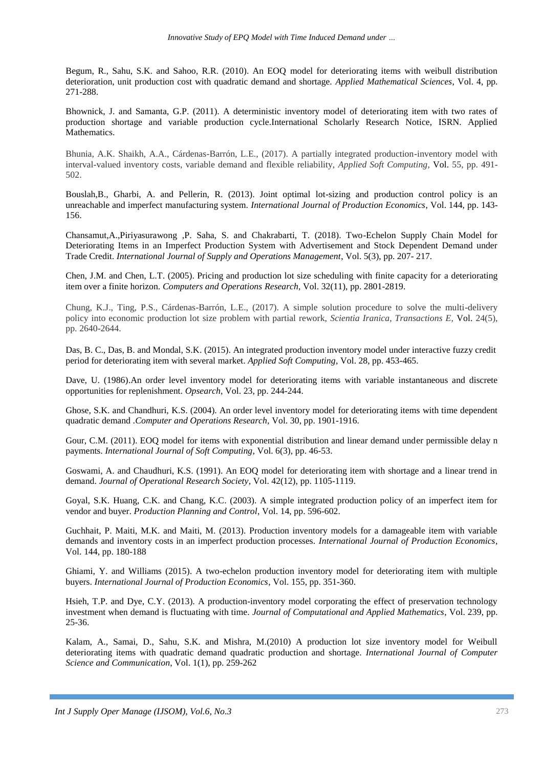Begum, R., Sahu, S.K. and Sahoo, R.R. (2010). An EOQ model for deteriorating items with weibull distribution deterioration, unit production cost with quadratic demand and shortage. *Applied Mathematical Sciences*, Vol. 4, pp. 271-288.

Bhownick, J. and Samanta, G.P. (2011). A deterministic inventory model of deteriorating item with two rates of production shortage and variable production cycle.International Scholarly Research Notice, ISRN. Applied Mathematics.

Bhunia, A.K. Shaikh, A.A., Cárdenas-Barrón, L.E., (2017). A partially integrated production-inventory model with interval-valued inventory costs, variable demand and flexible reliability, *Applied Soft Computing*, Vol. 55, pp. 491- 502.

Bouslah,B., Gharbi, A. and Pellerin, R. (2013). Joint optimal lot-sizing and production control policy is an unreachable and imperfect manufacturing system. *International Journal of Production Economics*, Vol. 144, pp. 143- 156.

Chansamut,A.,Piriyasurawong ,P. Saha, S. and Chakrabarti, T. (2018). Two-Echelon Supply Chain Model for Deteriorating Items in an Imperfect Production System with Advertisement and Stock Dependent Demand under Trade Credit. *International Journal of Supply and Operations Management*, Vol. 5(3), pp. 207- 217.

Chen, J.M. and Chen, L.T. (2005). Pricing and production lot size scheduling with finite capacity for a deteriorating item over a finite horizon. *Computers and Operations Research*, Vol. 32(11), pp. 2801-2819.

Chung, K.J., Ting, P.S., Cárdenas-Barrón, L.E., (2017). A simple solution procedure to solve the multi-delivery policy into economic production lot size problem with partial rework, *Scientia Iranica, Transactions E,* Vol. 24(5), pp. 2640-2644.

Das, B. C., Das, B. and Mondal, S.K. (2015). An integrated production inventory model under interactive fuzzy credit period for deteriorating item with several market. *Applied Soft Computing*, Vol. 28, pp. 453-465.

Dave, U. (1986).An order level inventory model for deteriorating items with variable instantaneous and discrete opportunities for replenishment. *Opsearch*, Vol. 23, pp. 244-244.

Ghose, S.K. and Chandhuri, K.S. (2004). An order level inventory model for deteriorating items with time dependent quadratic demand .*Computer and Operations Research,* Vol. 30, pp. 1901-1916.

Gour, C.M. (2011). EOQ model for items with exponential distribution and linear demand under permissible delay n payments. *International Journal of Soft Computing*, Vol. 6(3), pp. 46-53.

Goswami, A. and Chaudhuri, K.S. (1991). An EOQ model for deteriorating item with shortage and a linear trend in demand. *Journal of Operational Research Society*, Vol. 42(12), pp. 1105-1119.

Goyal, S.K. Huang, C.K. and Chang, K.C. (2003). A simple integrated production policy of an imperfect item for vendor and buyer. *Production Planning and Control*, Vol. 14, pp. 596-602.

Guchhait, P. Maiti, M.K. and Maiti, M. (2013). Production inventory models for a damageable item with variable demands and inventory costs in an imperfect production processes. *International Journal of Production Economics*, Vol. 144, pp. 180-188

Ghiami, Y. and Williams (2015). A two-echelon production inventory model for deteriorating item with multiple buyers. *International Journal of Production Economics*, Vol. 155, pp. 351-360.

Hsieh, T.P. and Dye, C.Y. (2013). A production-inventory model corporating the effect of preservation technology investment when demand is fluctuating with time. *Journal of Computational and Applied Mathematics*, Vol. 239, pp. 25-36.

Kalam, A., Samai, D., Sahu, S.K. and Mishra, M.(2010) A production lot size inventory model for Weibull deteriorating items with quadratic demand quadratic production and shortage. *International Journal of Computer Science and Communication*, Vol. 1(1), pp. 259-262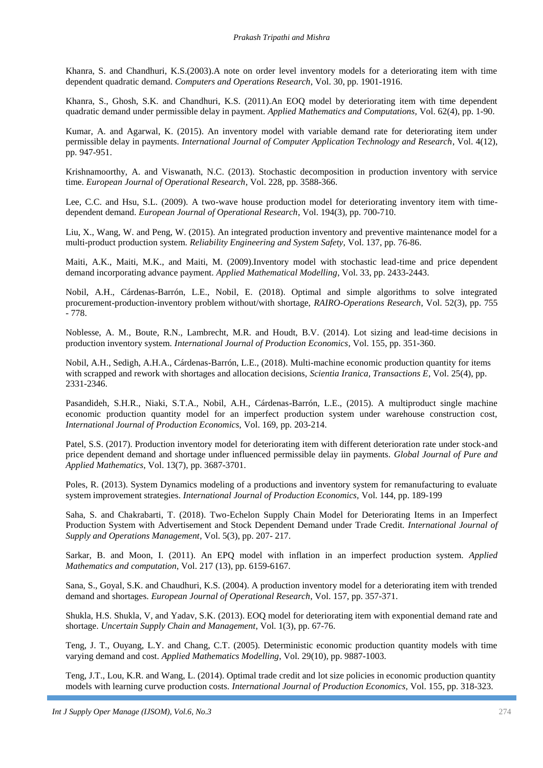Khanra, S. and Chandhuri, K.S.(2003).A note on order level inventory models for a deteriorating item with time dependent quadratic demand. *Computers and Operations Research*, Vol. 30, pp. 1901-1916.

Khanra, S., Ghosh, S.K. and Chandhuri, K.S. (2011).An EOQ model by deteriorating item with time dependent quadratic demand under permissible delay in payment. *Applied Mathematics and Computations,* Vol. 62(4), pp. 1-90.

Kumar, A. and Agarwal, K. (2015). An inventory model with variable demand rate for deteriorating item under permissible delay in payments. *International Journal of Computer Application Technology and Research*, Vol. 4(12), pp. 947-951.

Krishnamoorthy, A. and Viswanath, N.C. (2013). Stochastic decomposition in production inventory with service time. *European Journal of Operational Research*, Vol. 228, pp. 3588-366.

Lee, C.C. and Hsu, S.L. (2009). A two-wave house production model for deteriorating inventory item with timedependent demand. *European Journal of Operational Research*, Vol. 194(3), pp. 700-710.

Liu, X., Wang, W. and Peng, W. (2015). An integrated production inventory and preventive maintenance model for a multi-product production system. *Reliability Engineering and System Safety,* Vol. 137, pp. 76-86.

Maiti, A.K., Maiti, M.K., and Maiti, M. (2009).Inventory model with stochastic lead-time and price dependent demand incorporating advance payment. *Applied Mathematical Modelling*, Vol. 33, pp. 2433-2443.

Nobil, A.H., Cárdenas-Barrón, L.E., Nobil, E. (2018). Optimal and simple algorithms to solve integrated procurement-production-inventory problem without/with shortage, *RAIRO-Operations Research*, Vol. 52(3), pp. 755 - 778.

Noblesse, A. M., Boute, R.N., Lambrecht, M.R. and Houdt, B.V. (2014). Lot sizing and lead-time decisions in production inventory system. *International Journal of Production Economics*, Vol. 155, pp. 351-360.

Nobil, A.H., Sedigh, A.H.A., Cárdenas-Barrón, L.E., (2018). Multi-machine economic production quantity for items with scrapped and rework with shortages and allocation decisions, *Scientia Iranica, Transactions E*, Vol. 25(4), pp. 2331-2346.

Pasandideh, S.H.R., Niaki, S.T.A., Nobil, A.H., Cárdenas-Barrón, L.E., (2015). A multiproduct single machine economic production quantity model for an imperfect production system under warehouse construction cost, *International Journal of Production Economics,* Vol. 169, pp. 203-214.

Patel, S.S. (2017). Production inventory model for deteriorating item with different deterioration rate under stock-and price dependent demand and shortage under influenced permissible delay iin payments. *Global Journal of Pure and Applied Mathematics*, Vol. 13(7), pp. 3687-3701.

Poles, R. (2013). System Dynamics modeling of a productions and inventory system for remanufacturing to evaluate system improvement strategies. *International Journal of Production Economics,* Vol. 144, pp. 189-199

Saha, S. and Chakrabarti, T. (2018). Two-Echelon Supply Chain Model for Deteriorating Items in an Imperfect Production System with Advertisement and Stock Dependent Demand under Trade Credit. *International Journal of Supply and Operations Management*, Vol. 5(3), pp. 207- 217.

Sarkar, B. and Moon, I. (2011). An EPQ model with inflation in an imperfect production system. *Applied Mathematics and computation*, Vol. 217 (13), pp. 6159-6167.

Sana, S., Goyal, S.K. and Chaudhuri, K.S. (2004). A production inventory model for a deteriorating item with trended demand and shortages. *European Journal of Operational Research*, Vol. 157, pp. 357-371.

Shukla, H.S. Shukla, V, and Yadav, S.K. (2013). EOQ model for deteriorating item with exponential demand rate and shortage. *Uncertain Supply Chain and Management*, Vol. 1(3), pp. 67-76.

Teng, J. T., Ouyang, L.Y. and Chang, C.T. (2005). Deterministic economic production quantity models with time varying demand and cost. *Applied Mathematics Modelling*, Vol. 29(10), pp. 9887-1003.

Teng, J.T., Lou, K.R. and Wang, L. (2014). Optimal trade credit and lot size policies in economic production quantity models with learning curve production costs. *International Journal of Production Economics,* Vol. 155, pp. 318-323.